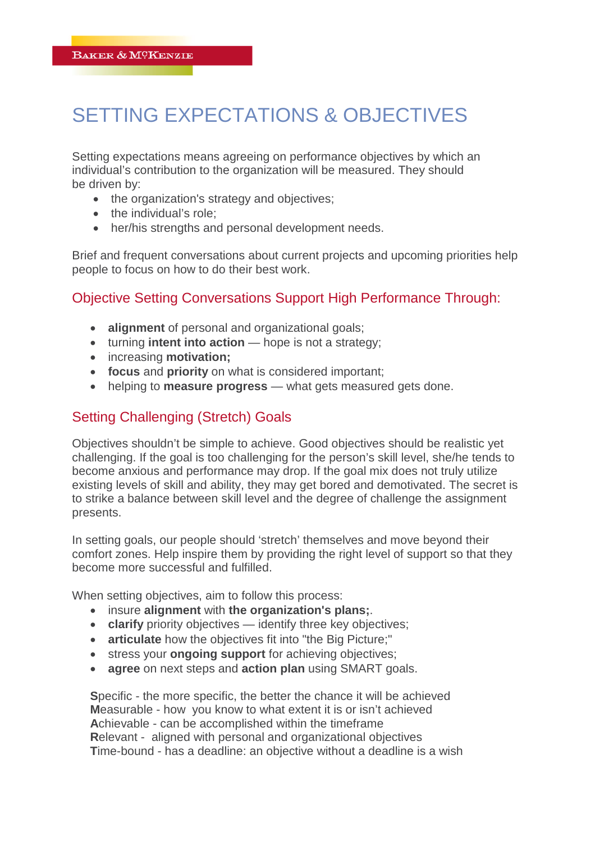# SETTING EXPECTATIONS & OBJECTIVES

Setting expectations means agreeing on performance objectives by which an individual's contribution to the organization will be measured. They should be driven by:

- the organization's strategy and objectives;
- the individual's role;
- her/his strengths and personal development needs.

Brief and frequent conversations about current projects and upcoming priorities help people to focus on how to do their best work.

### Objective Setting Conversations Support High Performance Through:

- **alignment** of personal and organizational goals;
- turning **intent into action** hope is not a strategy;
- increasing **motivation;**
- **focus** and **priority** on what is considered important;
- helping to **measure progress** what gets measured gets done.

## Setting Challenging (Stretch) Goals

Objectives shouldn't be simple to achieve. Good objectives should be realistic yet challenging. If the goal is too challenging for the person's skill level, she/he tends to become anxious and performance may drop. If the goal mix does not truly utilize existing levels of skill and ability, they may get bored and demotivated. The secret is to strike a balance between skill level and the degree of challenge the assignment presents.

In setting goals, our people should 'stretch' themselves and move beyond their comfort zones. Help inspire them by providing the right level of support so that they become more successful and fulfilled.

When setting objectives, aim to follow this process:

- insure **alignment** with **the organization's plans;**.
- **clarify** priority objectives identify three key objectives;
- **articulate** how the objectives fit into "the Big Picture;"
- **stress your ongoing support** for achieving objectives;
- **agree** on next steps and **action plan** using SMART goals.

**S**pecific - the more specific, the better the chance it will be achieved **M**easurable - how you know to what extent it is or isn't achieved **A**chievable - can be accomplished within the timeframe **R**elevant - aligned with personal and organizational objectives **T**ime-bound - has a deadline: an objective without a deadline is a wish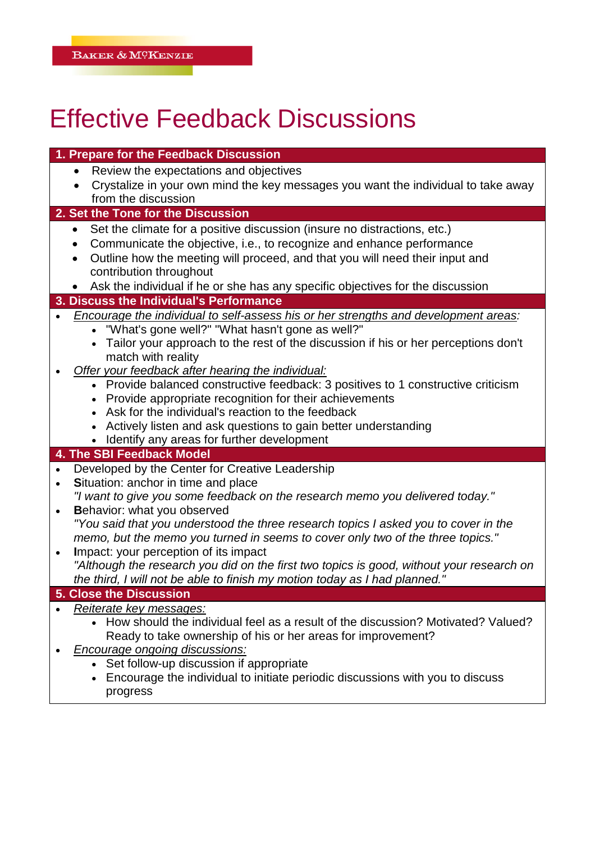# Effective Feedback Discussions

#### **1. Prepare for the Feedback Discussion**

- Review the expectations and objectives
- Crystalize in your own mind the key messages you want the individual to take away from the discussion

#### **2. Set the Tone for the Discussion**

- Set the climate for a positive discussion (insure no distractions, etc.)
- Communicate the objective, i.e., to recognize and enhance performance
- Outline how the meeting will proceed, and that you will need their input and contribution throughout
- Ask the individual if he or she has any specific objectives for the discussion

#### **3. Discuss the Individual's Performance**

- *Encourage the individual to self-assess his or her strengths and development areas:*
	- "What's gone well?" "What hasn't gone as well?"
	- Tailor your approach to the rest of the discussion if his or her perceptions don't match with reality
- *Offer your feedback after hearing the individual:*
	- Provide balanced constructive feedback: 3 positives to 1 constructive criticism
	- Provide appropriate recognition for their achievements
	- Ask for the individual's reaction to the feedback
	- Actively listen and ask questions to gain better understanding
	- Identify any areas for further development

#### **4. The SBI Feedback Model**

- Developed by the Center for Creative Leadership
- Situation: anchor in time and place

*"I want to give you some feedback on the research memo you delivered today."*

- **B**ehavior: what you observed *"You said that you understood the three research topics I asked you to cover in the memo, but the memo you turned in seems to cover only two of the three topics."*
- **I**mpact: your perception of its impact *"Although the research you did on the first two topics is good, without your research on the third, I will not be able to finish my motion today as I had planned."*

#### **5. Close the Discussion**

- *Reiterate key messages:*
	- How should the individual feel as a result of the discussion? Motivated? Valued? Ready to take ownership of his or her areas for improvement?
- *Encourage ongoing discussions:*
	- Set follow-up discussion if appropriate
	- Encourage the individual to initiate periodic discussions with you to discuss progress